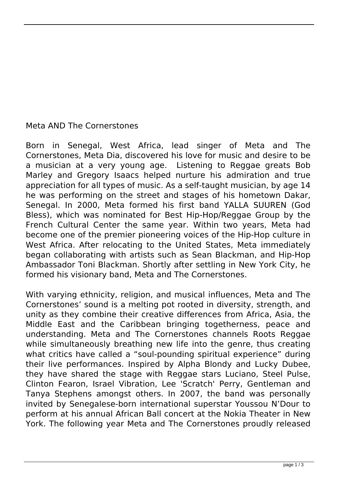## Meta AND The Cornerstones

Born in Senegal, West Africa, lead singer of Meta and The Cornerstones, Meta Dia, discovered his love for music and desire to be a musician at a very young age. Listening to Reggae greats Bob Marley and Gregory Isaacs helped nurture his admiration and true appreciation for all types of music. As a self-taught musician, by age 14 he was performing on the street and stages of his hometown Dakar, Senegal. In 2000, Meta formed his first band YALLA SUUREN (God Bless), which was nominated for Best Hip-Hop/Reggae Group by the French Cultural Center the same year. Within two years, Meta had become one of the premier pioneering voices of the Hip-Hop culture in West Africa. After relocating to the United States, Meta immediately began collaborating with artists such as Sean Blackman, and Hip-Hop Ambassador Toni Blackman. Shortly after settling in New York City, he formed his visionary band, Meta and The Cornerstones.

With varying ethnicity, religion, and musical influences, Meta and The Cornerstones' sound is a melting pot rooted in diversity, strength, and unity as they combine their creative differences from Africa, Asia, the Middle East and the Caribbean bringing togetherness, peace and understanding. Meta and The Cornerstones channels Roots Reggae while simultaneously breathing new life into the genre, thus creating what critics have called a "soul-pounding spiritual experience" during their live performances. Inspired by Alpha Blondy and Lucky Dubee, they have shared the stage with Reggae stars Luciano, Steel Pulse, Clinton Fearon, Israel Vibration, Lee 'Scratch' Perry, Gentleman and Tanya Stephens amongst others. In 2007, the band was personally invited by Senegalese-born international superstar Youssou N'Dour to perform at his annual African Ball concert at the Nokia Theater in New York. The following year Meta and The Cornerstones proudly released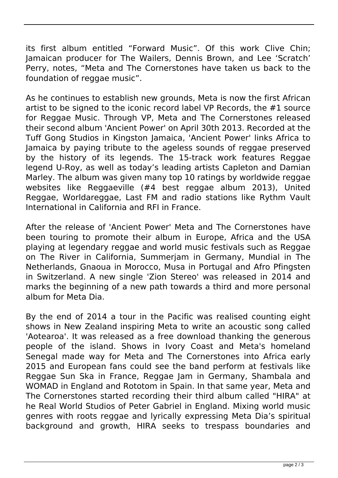its first album entitled "Forward Music". Of this work Clive Chin; Jamaican producer for The Wailers, Dennis Brown, and Lee 'Scratch' Perry, notes, "Meta and The Cornerstones have taken us back to the foundation of reggae music".

As he continues to establish new grounds, Meta is now the first African artist to be signed to the iconic record label VP Records, the #1 source for Reggae Music. Through VP, Meta and The Cornerstones released their second album 'Ancient Power' on April 30th 2013. Recorded at the Tuff Gong Studios in Kingston Jamaica, 'Ancient Power' links Africa to Jamaica by paying tribute to the ageless sounds of reggae preserved by the history of its legends. The 15-track work features Reggae legend U-Roy, as well as today's leading artists Capleton and Damian Marley. The album was given many top 10 ratings by worldwide reggae websites like Reggaeville (#4 best reggae album 2013), United Reggae, Worldareggae, Last FM and radio stations like Rythm Vault International in California and RFI in France.

After the release of 'Ancient Power' Meta and The Cornerstones have been touring to promote their album in Europe, Africa and the USA playing at legendary reggae and world music festivals such as Reggae on The River in California, Summerjam in Germany, Mundial in The Netherlands, Gnaoua in Morocco, Musa in Portugal and Afro Pfingsten in Switzerland. A new single 'Zion Stereo' was released in 2014 and marks the beginning of a new path towards a third and more personal album for Meta Dia.

By the end of 2014 a tour in the Pacific was realised counting eight shows in New Zealand inspiring Meta to write an acoustic song called 'Aotearoa'. It was released as a free download thanking the generous people of the island. Shows in Ivory Coast and Meta's homeland Senegal made way for Meta and The Cornerstones into Africa early 2015 and European fans could see the band perform at festivals like Reggae Sun Ska in France, Reggae Jam in Germany, Shambala and WOMAD in England and Rototom in Spain. In that same year, Meta and The Cornerstones started recording their third album called "HIRA" at he Real World Studios of Peter Gabriel in England. Mixing world music genres with roots reggae and lyrically expressing Meta Dia's spiritual background and growth, HIRA seeks to trespass boundaries and